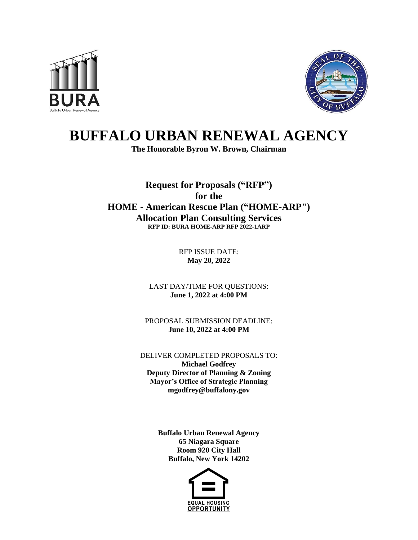



## **BUFFALO URBAN RENEWAL AGENCY**

**The Honorable Byron W. Brown, Chairman**

**Request for Proposals ("RFP") for the HOME - American Rescue Plan ("HOME-ARP") Allocation Plan Consulting Services RFP ID: BURA HOME-ARP RFP 2022-1ARP**

> RFP ISSUE DATE: **May 20, 2022**

LAST DAY/TIME FOR QUESTIONS: **June 1, 2022 at 4:00 PM**

PROPOSAL SUBMISSION DEADLINE: **June 10, 2022 at 4:00 PM**

DELIVER COMPLETED PROPOSALS TO: **Michael Godfrey Deputy Director of Planning & Zoning Mayor's Office of Strategic Planning mgodfrey@buffalony.gov**

> **Buffalo Urban Renewal Agency 65 Niagara Square Room 920 City Hall Buffalo, New York 14202**

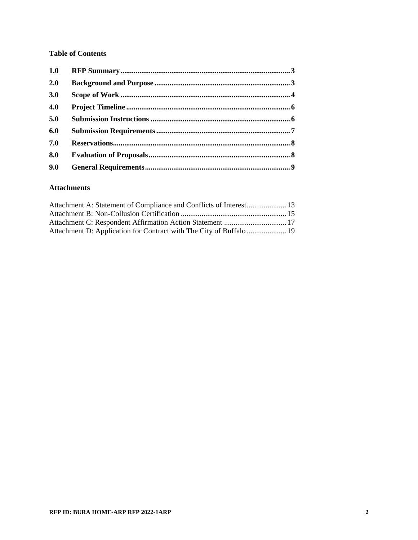#### **Table of Contents**

| 1.0 |  |
|-----|--|
| 2.0 |  |
| 3.0 |  |
| 4.0 |  |
| 5.0 |  |
| 6.0 |  |
| 7.0 |  |
| 8.0 |  |
| 9.0 |  |
|     |  |

#### **Attachments**

| Attachment A: Statement of Compliance and Conflicts of Interest 13  |  |
|---------------------------------------------------------------------|--|
|                                                                     |  |
|                                                                     |  |
| Attachment D: Application for Contract with The City of Buffalo  19 |  |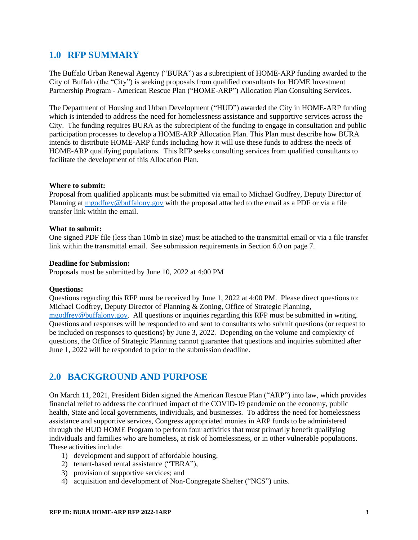## <span id="page-2-0"></span>**1.0 RFP SUMMARY**

The Buffalo Urban Renewal Agency ("BURA") as a subrecipient of HOME-ARP funding awarded to the City of Buffalo (the "City") is seeking proposals from qualified consultants for HOME Investment Partnership Program - American Rescue Plan ("HOME-ARP") Allocation Plan Consulting Services.

The Department of Housing and Urban Development ("HUD") awarded the City in HOME-ARP funding which is intended to address the need for homelessness assistance and supportive services across the City. The funding requires BURA as the subrecipient of the funding to engage in consultation and public participation processes to develop a HOME-ARP Allocation Plan. This Plan must describe how BURA intends to distribute HOME-ARP funds including how it will use these funds to address the needs of HOME-ARP qualifying populations. This RFP seeks consulting services from qualified consultants to facilitate the development of this Allocation Plan.

#### **Where to submit:**

Proposal from qualified applicants must be submitted via email to Michael Godfrey, Deputy Director of Planning at [mgodfrey@buffalony.gov](mailto:mgodfrey@buffalony.gov) with the proposal attached to the email as a PDF or via a file transfer link within the email.

#### **What to submit:**

One signed PDF file (less than 10mb in size) must be attached to the transmittal email or via a file transfer link within the transmittal email. See submission requirements in Section [6.0](#page-6-0) on page [7.](#page-6-0)

#### **Deadline for Submission:**

Proposals must be submitted by June 10, 2022 at 4:00 PM

#### **Questions:**

Questions regarding this RFP must be received by June 1, 2022 at 4:00 PM. Please direct questions to: Michael Godfrey, Deputy Director of Planning & Zoning, Office of Strategic Planning, [mgodfrey@buffalony.gov.](mailto:mgodfrey@buffalony.gov) All questions or inquiries regarding this RFP must be submitted in writing. Questions and responses will be responded to and sent to consultants who submit questions (or request to be included on responses to questions) by June 3, 2022. Depending on the volume and complexity of questions, the Office of Strategic Planning cannot guarantee that questions and inquiries submitted after June 1, 2022 will be responded to prior to the submission deadline.

## <span id="page-2-1"></span>**2.0 BACKGROUND AND PURPOSE**

On March 11, 2021, President Biden signed the American Rescue Plan ("ARP") into law, which provides financial relief to address the continued impact of the COVID-19 pandemic on the economy, public health, State and local governments, individuals, and businesses. To address the need for homelessness assistance and supportive services, Congress appropriated monies in ARP funds to be administered through the HUD HOME Program to perform four activities that must primarily benefit qualifying individuals and families who are homeless, at risk of homelessness, or in other vulnerable populations. These activities include:

- 1) development and support of affordable housing,
- 2) tenant-based rental assistance ("TBRA"),
- 3) provision of supportive services; and
- 4) acquisition and development of Non-Congregate Shelter ("NCS") units.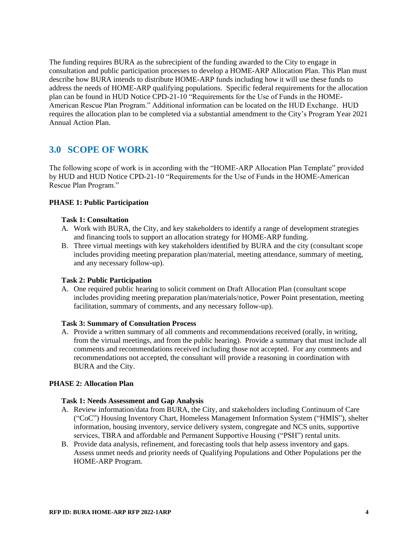The funding requires BURA as the subrecipient of the funding awarded to the City to engage in consultation and public participation processes to develop a HOME-ARP Allocation Plan. This Plan must describe how BURA intends to distribute HOME-ARP funds including how it will use these funds to address the needs of HOME-ARP qualifying populations. Specific federal requirements for the allocation plan can be found in HUD Notice CPD-21-10 "Requirements for the Use of Funds in the HOME-American Rescue Plan Program." Additional information can be located on the HUD Exchange. HUD requires the allocation plan to be completed via a substantial amendment to the City's Program Year 2021 Annual Action Plan.

## <span id="page-3-0"></span>**3.0 SCOPE OF WORK**

The following scope of work is in according with the "HOME-ARP Allocation Plan Template" provided by HUD and HUD Notice CPD-21-10 "Requirements for the Use of Funds in the HOME-American Rescue Plan Program."

#### **PHASE 1: Public Participation**

#### **Task 1: Consultation**

- A. Work with BURA, the City, and key stakeholders to identify a range of development strategies and financing tools to support an allocation strategy for HOME-ARP funding.
- B. Three virtual meetings with key stakeholders identified by BURA and the city (consultant scope includes providing meeting preparation plan/material, meeting attendance, summary of meeting, and any necessary follow-up).

#### **Task 2: Public Participation**

A. One required public hearing to solicit comment on Draft Allocation Plan (consultant scope includes providing meeting preparation plan/materials/notice, Power Point presentation, meeting facilitation, summary of comments, and any necessary follow-up).

#### **Task 3: Summary of Consultation Process**

A. Provide a written summary of all comments and recommendations received (orally, in writing, from the virtual meetings, and from the public hearing). Provide a summary that must include all comments and recommendations received including those not accepted. For any comments and recommendations not accepted, the consultant will provide a reasoning in coordination with BURA and the City.

#### **PHASE 2: Allocation Plan**

#### **Task 1: Needs Assessment and Gap Analysis**

- A. Review information/data from BURA, the City, and stakeholders including Continuum of Care ("CoC") Housing Inventory Chart, Homeless Management Information System ("HMIS"), shelter information, housing inventory, service delivery system, congregate and NCS units, supportive services, TBRA and affordable and Permanent Supportive Housing ("PSH") rental units.
- B. Provide data analysis, refinement, and forecasting tools that help assess inventory and gaps. Assess unmet needs and priority needs of Qualifying Populations and Other Populations per the HOME-ARP Program.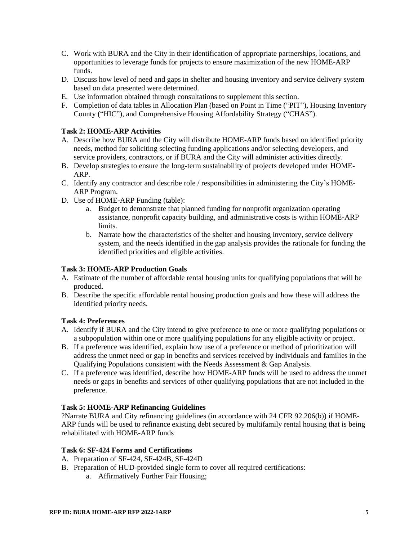- C. Work with BURA and the City in their identification of appropriate partnerships, locations, and opportunities to leverage funds for projects to ensure maximization of the new HOME-ARP funds.
- D. Discuss how level of need and gaps in shelter and housing inventory and service delivery system based on data presented were determined.
- E. Use information obtained through consultations to supplement this section.
- F. Completion of data tables in Allocation Plan (based on Point in Time ("PIT"), Housing Inventory County ("HIC"), and Comprehensive Housing Affordability Strategy ("CHAS").

#### **Task 2: HOME-ARP Activities**

- A. Describe how BURA and the City will distribute HOME-ARP funds based on identified priority needs, method for soliciting selecting funding applications and/or selecting developers, and service providers, contractors, or if BURA and the City will administer activities directly.
- B. Develop strategies to ensure the long-term sustainability of projects developed under HOME-ARP.
- C. Identify any contractor and describe role / responsibilities in administering the City's HOME-ARP Program.
- D. Use of HOME-ARP Funding (table):
	- a. Budget to demonstrate that planned funding for nonprofit organization operating assistance, nonprofit capacity building, and administrative costs is within HOME-ARP limits.
	- b. Narrate how the characteristics of the shelter and housing inventory, service delivery system, and the needs identified in the gap analysis provides the rationale for funding the identified priorities and eligible activities.

#### **Task 3: HOME-ARP Production Goals**

- A. Estimate of the number of affordable rental housing units for qualifying populations that will be produced.
- B. Describe the specific affordable rental housing production goals and how these will address the identified priority needs.

#### **Task 4: Preferences**

- A. Identify if BURA and the City intend to give preference to one or more qualifying populations or a subpopulation within one or more qualifying populations for any eligible activity or project.
- B. If a preference was identified, explain how use of a preference or method of prioritization will address the unmet need or gap in benefits and services received by individuals and families in the Qualifying Populations consistent with the Needs Assessment & Gap Analysis.
- C. If a preference was identified, describe how HOME-ARP funds will be used to address the unmet needs or gaps in benefits and services of other qualifying populations that are not included in the preference.

#### **Task 5: HOME-ARP Refinancing Guidelines**

?Narrate BURA and City refinancing guidelines (in accordance with 24 CFR 92.206(b)) if HOME-ARP funds will be used to refinance existing debt secured by multifamily rental housing that is being rehabilitated with HOME-ARP funds

#### **Task 6: SF-424 Forms and Certifications**

- A. Preparation of SF-424, SF-424B, SF-424D
- B. Preparation of HUD-provided single form to cover all required certifications:
	- a. Affirmatively Further Fair Housing;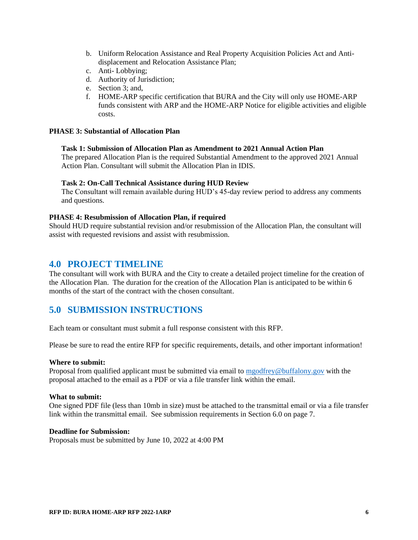- b. Uniform Relocation Assistance and Real Property Acquisition Policies Act and Antidisplacement and Relocation Assistance Plan;
- c. Anti- Lobbying;
- d. Authority of Jurisdiction;
- e. Section 3; and,
- f. HOME-ARP specific certification that BURA and the City will only use HOME-ARP funds consistent with ARP and the HOME-ARP Notice for eligible activities and eligible costs.

#### **PHASE 3: Substantial of Allocation Plan**

#### **Task 1: Submission of Allocation Plan as Amendment to 2021 Annual Action Plan**

The prepared Allocation Plan is the required Substantial Amendment to the approved 2021 Annual Action Plan. Consultant will submit the Allocation Plan in IDIS.

#### **Task 2: On-Call Technical Assistance during HUD Review**

The Consultant will remain available during HUD's 45-day review period to address any comments and questions.

#### **PHASE 4: Resubmission of Allocation Plan, if required**

Should HUD require substantial revision and/or resubmission of the Allocation Plan, the consultant will assist with requested revisions and assist with resubmission.

#### <span id="page-5-0"></span>**4.0 PROJECT TIMELINE**

The consultant will work with BURA and the City to create a detailed project timeline for the creation of the Allocation Plan. The duration for the creation of the Allocation Plan is anticipated to be within 6 months of the start of the contract with the chosen consultant.

### <span id="page-5-1"></span>**5.0 SUBMISSION INSTRUCTIONS**

Each team or consultant must submit a full response consistent with this RFP.

Please be sure to read the entire RFP for specific requirements, details, and other important information!

#### **Where to submit:**

Proposal from qualified applicant must be submitted via email to [mgodfrey@buffalony.gov](mailto:mgodfrey@buffalony.gov) with the proposal attached to the email as a PDF or via a file transfer link within the email.

#### **What to submit:**

One signed PDF file (less than 10mb in size) must be attached to the transmittal email or via a file transfer link within the transmittal email. See submission requirements in Section [6.0](#page-6-0) on page [7.](#page-6-0)

#### **Deadline for Submission:**

Proposals must be submitted by June 10, 2022 at 4:00 PM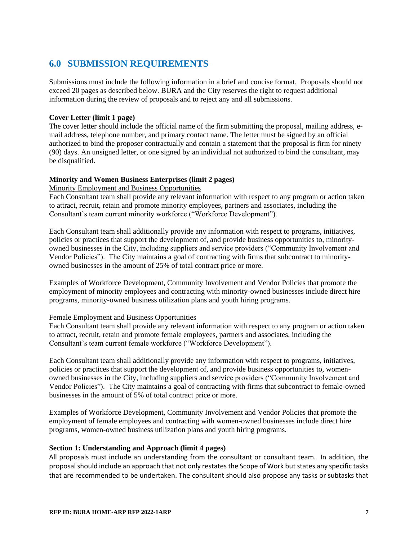## <span id="page-6-0"></span>**6.0 SUBMISSION REQUIREMENTS**

Submissions must include the following information in a brief and concise format. Proposals should not exceed 20 pages as described below. BURA and the City reserves the right to request additional information during the review of proposals and to reject any and all submissions.

#### **Cover Letter (limit 1 page)**

The cover letter should include the official name of the firm submitting the proposal, mailing address, email address, telephone number, and primary contact name. The letter must be signed by an official authorized to bind the proposer contractually and contain a statement that the proposal is firm for ninety (90) days. An unsigned letter, or one signed by an individual not authorized to bind the consultant, may be disqualified.

#### **Minority and Women Business Enterprises (limit 2 pages)**

#### Minority Employment and Business Opportunities

Each Consultant team shall provide any relevant information with respect to any program or action taken to attract, recruit, retain and promote minority employees, partners and associates, including the Consultant's team current minority workforce ("Workforce Development").

Each Consultant team shall additionally provide any information with respect to programs, initiatives, policies or practices that support the development of, and provide business opportunities to, minorityowned businesses in the City, including suppliers and service providers ("Community Involvement and Vendor Policies"). The City maintains a goal of contracting with firms that subcontract to minorityowned businesses in the amount of 25% of total contract price or more.

Examples of Workforce Development, Community Involvement and Vendor Policies that promote the employment of minority employees and contracting with minority-owned businesses include direct hire programs, minority-owned business utilization plans and youth hiring programs.

#### Female Employment and Business Opportunities

Each Consultant team shall provide any relevant information with respect to any program or action taken to attract, recruit, retain and promote female employees, partners and associates, including the Consultant's team current female workforce ("Workforce Development").

Each Consultant team shall additionally provide any information with respect to programs, initiatives, policies or practices that support the development of, and provide business opportunities to, womenowned businesses in the City, including suppliers and service providers ("Community Involvement and Vendor Policies"). The City maintains a goal of contracting with firms that subcontract to female-owned businesses in the amount of 5% of total contract price or more.

Examples of Workforce Development, Community Involvement and Vendor Policies that promote the employment of female employees and contracting with women-owned businesses include direct hire programs, women-owned business utilization plans and youth hiring programs.

#### **Section 1: Understanding and Approach (limit 4 pages)**

All proposals must include an understanding from the consultant or consultant team. In addition, the proposal should include an approach that not only restates the Scope of Work but states any specific tasks that are recommended to be undertaken. The consultant should also propose any tasks or subtasks that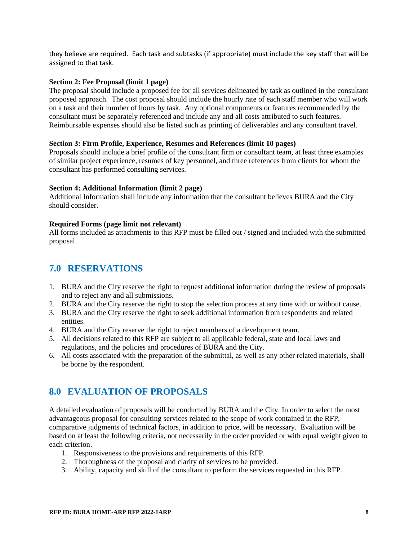they believe are required. Each task and subtasks (if appropriate) must include the key staff that will be assigned to that task.

#### **Section 2: Fee Proposal (limit 1 page)**

The proposal should include a proposed fee for all services delineated by task as outlined in the consultant proposed approach. The cost proposal should include the hourly rate of each staff member who will work on a task and their number of hours by task. Any optional components or features recommended by the consultant must be separately referenced and include any and all costs attributed to such features. Reimbursable expenses should also be listed such as printing of deliverables and any consultant travel.

#### **Section 3: Firm Profile, Experience, Resumes and References (limit 10 pages)**

Proposals should include a brief profile of the consultant firm or consultant team, at least three examples of similar project experience, resumes of key personnel, and three references from clients for whom the consultant has performed consulting services.

#### **Section 4: Additional Information (limit 2 page)**

Additional Information shall include any information that the consultant believes BURA and the City should consider.

#### **Required Forms (page limit not relevant)**

All forms included as attachments to this RFP must be filled out / signed and included with the submitted proposal.

## <span id="page-7-0"></span>**7.0 RESERVATIONS**

- 1. BURA and the City reserve the right to request additional information during the review of proposals and to reject any and all submissions.
- 2. BURA and the City reserve the right to stop the selection process at any time with or without cause.
- 3. BURA and the City reserve the right to seek additional information from respondents and related entities.
- 4. BURA and the City reserve the right to reject members of a development team.
- 5. All decisions related to this RFP are subject to all applicable federal, state and local laws and regulations, and the policies and procedures of BURA and the City.
- 6. All costs associated with the preparation of the submittal, as well as any other related materials, shall be borne by the respondent.

## <span id="page-7-1"></span>**8.0 EVALUATION OF PROPOSALS**

A detailed evaluation of proposals will be conducted by BURA and the City. In order to select the most advantageous proposal for consulting services related to the scope of work contained in the RFP, comparative judgments of technical factors, in addition to price, will be necessary. Evaluation will be based on at least the following criteria, not necessarily in the order provided or with equal weight given to each criterion.

- 1. Responsiveness to the provisions and requirements of this RFP.
- 2. Thoroughness of the proposal and clarity of services to be provided.
- 3. Ability, capacity and skill of the consultant to perform the services requested in this RFP.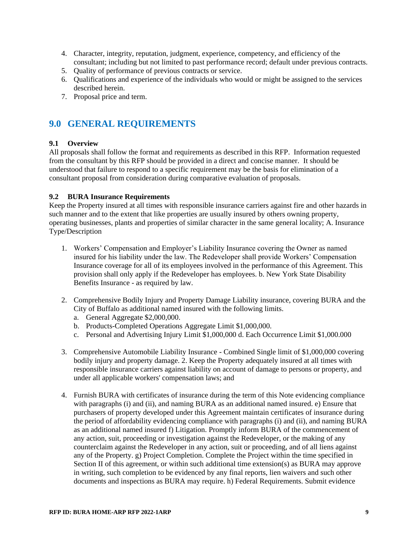- 4. Character, integrity, reputation, judgment, experience, competency, and efficiency of the consultant; including but not limited to past performance record; default under previous contracts.
- 5. Quality of performance of previous contracts or service.
- 6. Qualifications and experience of the individuals who would or might be assigned to the services described herein.
- 7. Proposal price and term.

## <span id="page-8-0"></span>**9.0 GENERAL REQUIREMENTS**

#### **9.1 Overview**

All proposals shall follow the format and requirements as described in this RFP. Information requested from the consultant by this RFP should be provided in a direct and concise manner. It should be understood that failure to respond to a specific requirement may be the basis for elimination of a consultant proposal from consideration during comparative evaluation of proposals.

#### **9.2 BURA Insurance Requirements**

Keep the Property insured at all times with responsible insurance carriers against fire and other hazards in such manner and to the extent that like properties are usually insured by others owning property, operating businesses, plants and properties of similar character in the same general locality; A. Insurance Type/Description

- 1. Workers' Compensation and Employer's Liability Insurance covering the Owner as named insured for his liability under the law. The Redeveloper shall provide Workers' Compensation Insurance coverage for all of its employees involved in the performance of this Agreement. This provision shall only apply if the Redeveloper has employees. b. New York State Disability Benefits Insurance - as required by law.
- 2. Comprehensive Bodily Injury and Property Damage Liability insurance, covering BURA and the City of Buffalo as additional named insured with the following limits.
	- a. General Aggregate \$2,000,000.
	- b. Products-Completed Operations Aggregate Limit \$1,000,000.
	- c. Personal and Advertising Injury Limit \$1,000,000 d. Each Occurrence Limit \$1,000.000
- 3. Comprehensive Automobile Liability Insurance Combined Single limit of \$1,000,000 covering bodily injury and property damage. 2. Keep the Property adequately insured at all times with responsible insurance carriers against liability on account of damage to persons or property, and under all applicable workers' compensation laws; and
- 4. Furnish BURA with certificates of insurance during the term of this Note evidencing compliance with paragraphs (i) and (ii), and naming BURA as an additional named insured. e) Ensure that purchasers of property developed under this Agreement maintain certificates of insurance during the period of affordability evidencing compliance with paragraphs (i) and (ii), and naming BURA as an additional named insured f) Litigation. Promptly inform BURA of the commencement of any action, suit, proceeding or investigation against the Redeveloper, or the making of any counterclaim against the Redeveloper in any action, suit or proceeding, and of all liens against any of the Property. g) Project Completion. Complete the Project within the time specified in Section II of this agreement, or within such additional time extension(s) as BURA may approve in writing, such completion to be evidenced by any final reports, lien waivers and such other documents and inspections as BURA may require. h) Federal Requirements. Submit evidence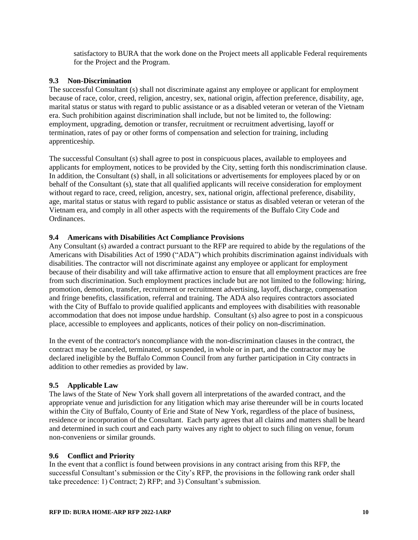satisfactory to BURA that the work done on the Project meets all applicable Federal requirements for the Project and the Program.

#### **9.3 Non-Discrimination**

The successful Consultant (s) shall not discriminate against any employee or applicant for employment because of race, color, creed, religion, ancestry, sex, national origin, affection preference, disability, age, marital status or status with regard to public assistance or as a disabled veteran or veteran of the Vietnam era. Such prohibition against discrimination shall include, but not be limited to, the following: employment, upgrading, demotion or transfer, recruitment or recruitment advertising, layoff or termination, rates of pay or other forms of compensation and selection for training, including apprenticeship.

The successful Consultant (s) shall agree to post in conspicuous places, available to employees and applicants for employment, notices to be provided by the City, setting forth this nondiscrimination clause. In addition, the Consultant (s) shall, in all solicitations or advertisements for employees placed by or on behalf of the Consultant (s), state that all qualified applicants will receive consideration for employment without regard to race, creed, religion, ancestry, sex, national origin, affectional preference, disability, age, marital status or status with regard to public assistance or status as disabled veteran or veteran of the Vietnam era, and comply in all other aspects with the requirements of the Buffalo City Code and Ordinances.

#### **9.4 Americans with Disabilities Act Compliance Provisions**

Any Consultant (s) awarded a contract pursuant to the RFP are required to abide by the regulations of the Americans with Disabilities Act of 1990 ("ADA") which prohibits discrimination against individuals with disabilities. The contractor will not discriminate against any employee or applicant for employment because of their disability and will take affirmative action to ensure that all employment practices are free from such discrimination. Such employment practices include but are not limited to the following: hiring, promotion, demotion, transfer, recruitment or recruitment advertising, layoff, discharge, compensation and fringe benefits, classification, referral and training. The ADA also requires contractors associated with the City of Buffalo to provide qualified applicants and employees with disabilities with reasonable accommodation that does not impose undue hardship. Consultant (s) also agree to post in a conspicuous place, accessible to employees and applicants, notices of their policy on non-discrimination.

In the event of the contractor's noncompliance with the non-discrimination clauses in the contract, the contract may be canceled, terminated, or suspended, in whole or in part, and the contractor may be declared ineligible by the Buffalo Common Council from any further participation in City contracts in addition to other remedies as provided by law.

#### **9.5 Applicable Law**

The laws of the State of New York shall govern all interpretations of the awarded contract, and the appropriate venue and jurisdiction for any litigation which may arise thereunder will be in courts located within the City of Buffalo, County of Erie and State of New York, regardless of the place of business, residence or incorporation of the Consultant. Each party agrees that all claims and matters shall be heard and determined in such court and each party waives any right to object to such filing on venue, forum non-conveniens or similar grounds.

#### **9.6 Conflict and Priority**

In the event that a conflict is found between provisions in any contract arising from this RFP, the successful Consultant's submission or the City's RFP, the provisions in the following rank order shall take precedence: 1) Contract; 2) RFP; and 3) Consultant's submission.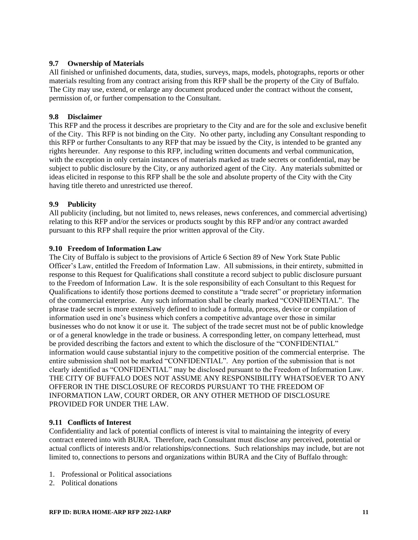#### **9.7 Ownership of Materials**

All finished or unfinished documents, data, studies, surveys, maps, models, photographs, reports or other materials resulting from any contract arising from this RFP shall be the property of the City of Buffalo. The City may use, extend, or enlarge any document produced under the contract without the consent, permission of, or further compensation to the Consultant.

#### **9.8 Disclaimer**

This RFP and the process it describes are proprietary to the City and are for the sole and exclusive benefit of the City. This RFP is not binding on the City. No other party, including any Consultant responding to this RFP or further Consultants to any RFP that may be issued by the City, is intended to be granted any rights hereunder. Any response to this RFP, including written documents and verbal communication, with the exception in only certain instances of materials marked as trade secrets or confidential, may be subject to public disclosure by the City, or any authorized agent of the City. Any materials submitted or ideas elicited in response to this RFP shall be the sole and absolute property of the City with the City having title thereto and unrestricted use thereof.

#### **9.9 Publicity**

All publicity (including, but not limited to, news releases, news conferences, and commercial advertising) relating to this RFP and/or the services or products sought by this RFP and/or any contract awarded pursuant to this RFP shall require the prior written approval of the City.

#### **9.10 Freedom of Information Law**

The City of Buffalo is subject to the provisions of Article 6 Section 89 of New York State Public Officer's Law, entitled the Freedom of Information Law. All submissions, in their entirety, submitted in response to this Request for Qualifications shall constitute a record subject to public disclosure pursuant to the Freedom of Information Law. It is the sole responsibility of each Consultant to this Request for Qualifications to identify those portions deemed to constitute a "trade secret" or proprietary information of the commercial enterprise. Any such information shall be clearly marked "CONFIDENTIAL". The phrase trade secret is more extensively defined to include a formula, process, device or compilation of information used in one's business which confers a competitive advantage over those in similar businesses who do not know it or use it. The subject of the trade secret must not be of public knowledge or of a general knowledge in the trade or business. A corresponding letter, on company letterhead, must be provided describing the factors and extent to which the disclosure of the "CONFIDENTIAL" information would cause substantial injury to the competitive position of the commercial enterprise. The entire submission shall not be marked "CONFIDENTIAL". Any portion of the submission that is not clearly identified as "CONFIDENTIAL" may be disclosed pursuant to the Freedom of Information Law. THE CITY OF BUFFALO DOES NOT ASSUME ANY RESPONSIBILITY WHATSOEVER TO ANY OFFEROR IN THE DISCLOSURE OF RECORDS PURSUANT TO THE FREEDOM OF INFORMATION LAW, COURT ORDER, OR ANY OTHER METHOD OF DISCLOSURE PROVIDED FOR UNDER THE LAW.

#### **9.11 Conflicts of Interest**

Confidentiality and lack of potential conflicts of interest is vital to maintaining the integrity of every contract entered into with BURA. Therefore, each Consultant must disclose any perceived, potential or actual conflicts of interests and/or relationships/connections. Such relationships may include, but are not limited to, connections to persons and organizations within BURA and the City of Buffalo through:

- 1. Professional or Political associations
- 2. Political donations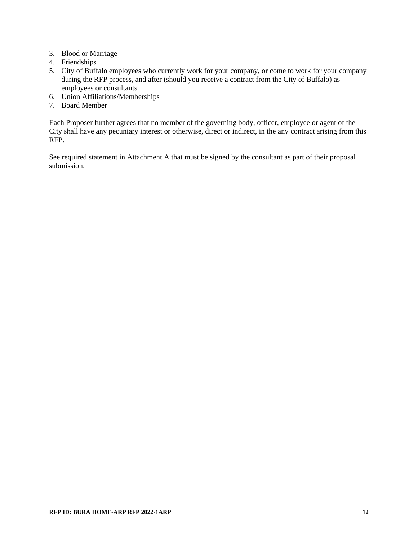- 3. Blood or Marriage
- 4. Friendships
- 5. City of Buffalo employees who currently work for your company, or come to work for your company during the RFP process, and after (should you receive a contract from the City of Buffalo) as employees or consultants
- 6. Union Affiliations/Memberships
- 7. Board Member

Each Proposer further agrees that no member of the governing body, officer, employee or agent of the City shall have any pecuniary interest or otherwise, direct or indirect, in the any contract arising from this RFP.

See required statement in [Attachment A](#page-12-0) that must be signed by the consultant as part of their proposal submission.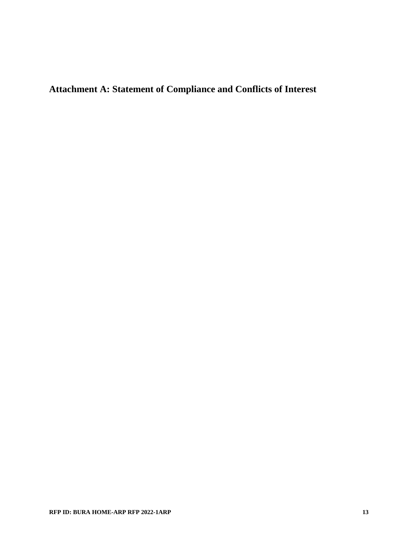<span id="page-12-0"></span>**Attachment A: Statement of Compliance and Conflicts of Interest**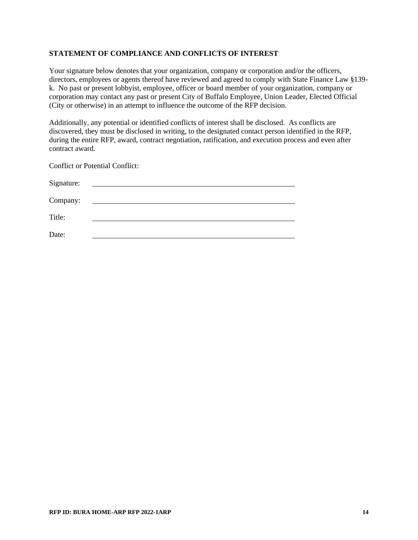#### **STATEMENT OF COMPLIANCE AND CONFLICTS OF INTEREST**

Your signature below denotes that your organization, company or corporation and/or the officers, directors, employees or agents thereof have reviewed and agreed to comply with State Finance Law §139 k. No past or present lobbyist, employee, officer or board member of your organization, company or corporation may contact any past or present City of Buffalo Employee, Union Leader, Elected Official (City or otherwise) in an attempt to influence the outcome of the RFP decision.

Additionally, any potential or identified conflicts of interest shall be disclosed. As conflicts are discovered, they must be disclosed in writing, to the designated contact person identified in the RFP, during the entire RFP, award, contract negotiation, ratification, and execution process and even after contract award.

Conflict or Potential Conflict:

| Signature: |  |
|------------|--|
| Company:   |  |
| Title:     |  |
| Date:      |  |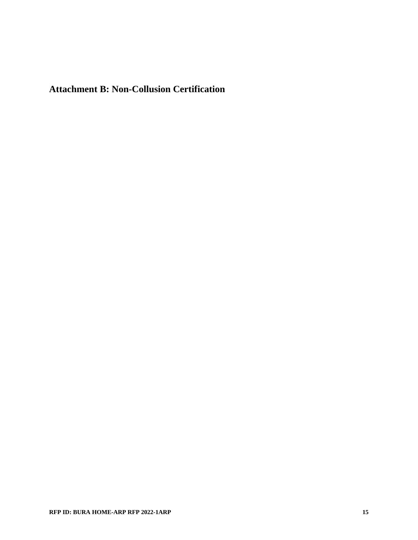<span id="page-14-0"></span>**Attachment B: Non-Collusion Certification**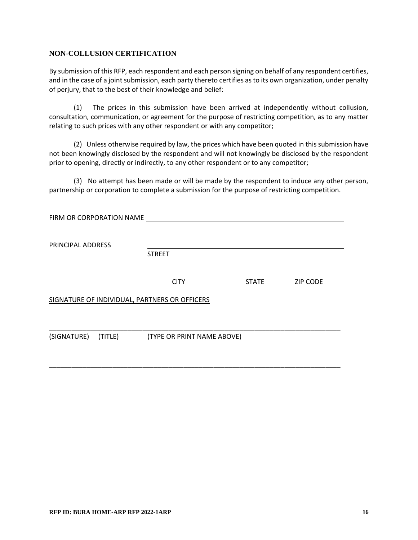#### **NON-COLLUSION CERTIFICATION**

By submission of this RFP, each respondent and each person signing on behalf of any respondent certifies, and in the case of a joint submission, each party thereto certifies as to its own organization, under penalty of perjury, that to the best of their knowledge and belief:

(1) The prices in this submission have been arrived at independently without collusion, consultation, communication, or agreement for the purpose of restricting competition, as to any matter relating to such prices with any other respondent or with any competitor;

(2) Unless otherwise required by law, the prices which have been quoted in this submission have not been knowingly disclosed by the respondent and will not knowingly be disclosed by the respondent prior to opening, directly or indirectly, to any other respondent or to any competitor;

(3) No attempt has been made or will be made by the respondent to induce any other person, partnership or corporation to complete a submission for the purpose of restricting competition.

| FIRM OR CORPORATION NAME |                                               |              |                 |
|--------------------------|-----------------------------------------------|--------------|-----------------|
| PRINCIPAL ADDRESS        | <b>STREET</b>                                 |              |                 |
|                          | <b>CITY</b>                                   | <b>STATE</b> | <b>ZIP CODE</b> |
|                          | SIGNATURE OF INDIVIDUAL, PARTNERS OR OFFICERS |              |                 |
| (SIGNATURE) (TITLE)      | (TYPE OR PRINT NAME ABOVE)                    |              |                 |
|                          |                                               |              |                 |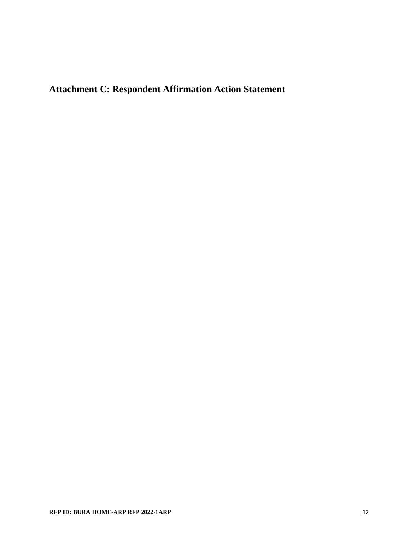<span id="page-16-0"></span>**Attachment C: Respondent Affirmation Action Statement**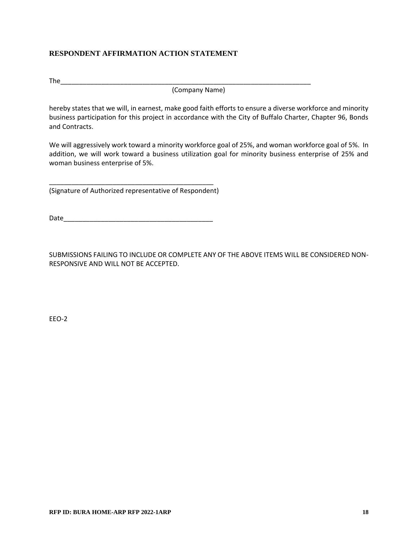#### **RESPONDENT AFFIRMATION ACTION STATEMENT**

The\_\_\_\_\_\_\_\_\_\_\_\_\_\_\_\_\_\_\_\_\_\_\_\_\_\_\_\_\_\_\_\_\_\_\_\_\_\_\_\_\_\_\_\_\_\_\_\_\_\_\_\_\_\_\_\_\_\_\_\_\_\_\_\_\_\_\_

(Company Name)

hereby states that we will, in earnest, make good faith efforts to ensure a diverse workforce and minority business participation for this project in accordance with the City of Buffalo Charter, Chapter 96, Bonds and Contracts.

We will aggressively work toward a minority workforce goal of 25%, and woman workforce goal of 5%. In addition, we will work toward a business utilization goal for minority business enterprise of 25% and woman business enterprise of 5%.

\_\_\_\_\_\_\_\_\_\_\_\_\_\_\_\_\_\_\_\_\_\_\_\_\_\_\_\_\_\_\_\_\_\_\_\_\_\_\_\_\_\_\_\_ (Signature of Authorized representative of Respondent)

Date\_\_\_\_\_\_\_\_\_\_\_\_\_\_\_\_\_\_\_\_\_\_\_\_\_\_\_\_\_\_\_\_\_\_\_\_\_\_\_\_

SUBMISSIONS FAILING TO INCLUDE OR COMPLETE ANY OF THE ABOVE ITEMS WILL BE CONSIDERED NON-RESPONSIVE AND WILL NOT BE ACCEPTED.

EEO-2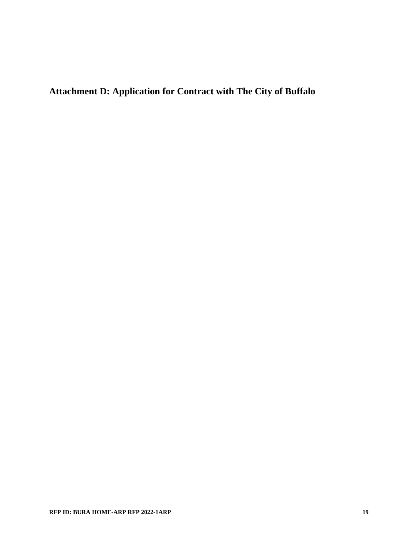<span id="page-18-0"></span>**Attachment D: Application for Contract with The City of Buffalo**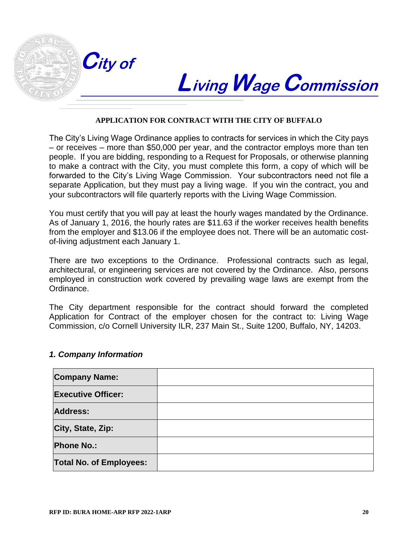

# **BuffaloBuffalo LivingWageCommission**

# **APPLICATION FOR CONTRACT WITH THE CITY OF BUFFALO**

The City's Living Wage Ordinance applies to contracts for services in which the City pays – or receives – more than \$50,000 per year, and the contractor employs more than ten people. If you are bidding, responding to a Request for Proposals, or otherwise planning to make a contract with the City, you must complete this form, a copy of which will be forwarded to the City's Living Wage Commission. Your subcontractors need not file a separate Application, but they must pay a living wage. If you win the contract, you and your subcontractors will file quarterly reports with the Living Wage Commission.

You must certify that you will pay at least the hourly wages mandated by the Ordinance. As of January 1, 2016, the hourly rates are \$11.63 if the worker receives health benefits from the employer and \$13.06 if the employee does not. There will be an automatic costof-living adjustment each January 1.

There are two exceptions to the Ordinance. Professional contracts such as legal, architectural, or engineering services are not covered by the Ordinance. Also, persons employed in construction work covered by prevailing wage laws are exempt from the Ordinance.

The City department responsible for the contract should forward the completed Application for Contract of the employer chosen for the contract to: Living Wage Commission, c/o Cornell University ILR, 237 Main St., Suite 1200, Buffalo, NY, 14203.

#### *1. Company Information*

| <b>Company Name:</b>           |  |
|--------------------------------|--|
| <b>Executive Officer:</b>      |  |
| <b>Address:</b>                |  |
| City, State, Zip:              |  |
| <b>Phone No.:</b>              |  |
| <b>Total No. of Employees:</b> |  |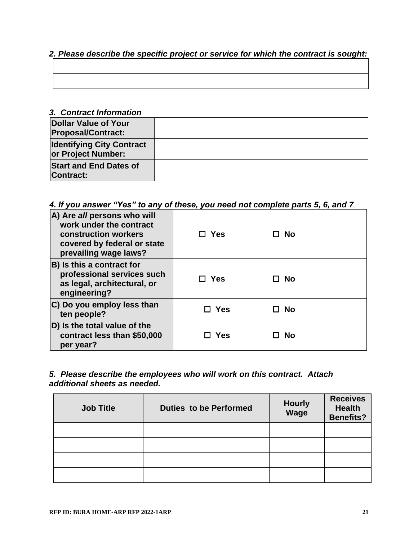## *2. Please describe the specific project or service for which the contract is sought:*

| <u> 1988 - Ann an Carl Maria ann an t-Èireann an t-Èireann an t-Èireann an t-Èireann an t-Èireann an t-Èireann an </u> |  |  |
|------------------------------------------------------------------------------------------------------------------------|--|--|
|                                                                                                                        |  |  |
|                                                                                                                        |  |  |
|                                                                                                                        |  |  |

#### *3. Contract Information*

| <b>Dollar Value of Your</b><br><b>Proposal/Contract:</b> |  |
|----------------------------------------------------------|--|
| <b>Identifying City Contract</b><br>or Project Number:   |  |
| <b>Start and End Dates of</b><br><b>Contract:</b>        |  |

## *4. If you answer "Yes" to any of these, you need not complete parts 5, 6, and 7*

| A) Are all persons who will<br>work under the contract<br>construction workers<br>covered by federal or state<br>prevailing wage laws? | $\Box$ Yes | - No |  |
|----------------------------------------------------------------------------------------------------------------------------------------|------------|------|--|
| <b>B</b> ) Is this a contract for<br>professional services such<br>as legal, architectural, or<br>engineering?                         | $\Box$ Yes | □ No |  |
| C) Do you employ less than<br>ten people?                                                                                              | Yes        | - No |  |
| D) Is the total value of the<br>contract less than \$50,000<br>per year?                                                               | <b>Yes</b> | No   |  |

## *5. Please describe the employees who will work on this contract. Attach additional sheets as needed.*

| <b>Job Title</b> | <b>Duties to be Performed</b> | <b>Hourly</b><br>Wage | <b>Receives</b><br><b>Health</b><br><b>Benefits?</b> |
|------------------|-------------------------------|-----------------------|------------------------------------------------------|
|                  |                               |                       |                                                      |
|                  |                               |                       |                                                      |
|                  |                               |                       |                                                      |
|                  |                               |                       |                                                      |